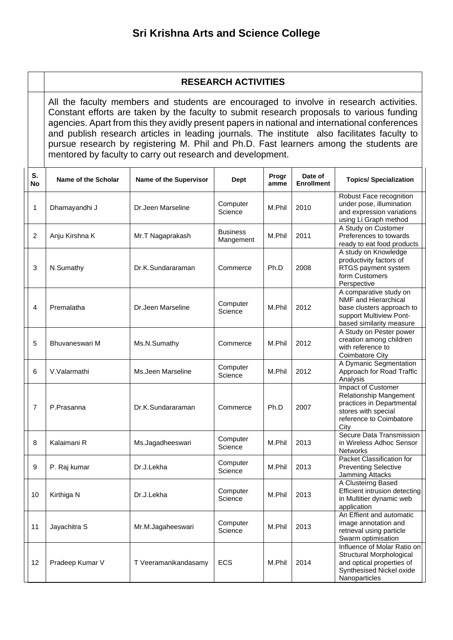## **RESEARCH ACTIVITIES**

All the faculty members and students are encouraged to involve in research activities. Constant efforts are taken by the faculty to submit research proposals to various funding agencies. Apart from this they avidly present papers in national and international conferences and publish research articles in leading journals. The institute also facilitates faculty to pursue research by registering M. Phil and Ph.D. Fast learners among the students are mentored by faculty to carry out research and development.

| S.<br><b>No</b> | Name of the Scholar | Name of the Supervisor | <b>Dept</b>                  | Progr<br>amme | Date of<br><b>Enrollment</b> | <b>Topics/ Specialization</b>                                                                                                       |
|-----------------|---------------------|------------------------|------------------------------|---------------|------------------------------|-------------------------------------------------------------------------------------------------------------------------------------|
| 1               | Dhamayandhi J       | Dr.Jeen Marseline      | Computer<br>Science          | M.Phil        | 2010                         | Robust Face recognition<br>under pose, illumination<br>and expression variations<br>using Li Graph method                           |
| $\overline{2}$  | Anju Kirshna K      | Mr.T Nagaprakash       | <b>Business</b><br>Mangement | M.Phil        | 2011                         | A Study on Customer<br>Preferences to towards<br>ready to eat food products                                                         |
| 3               | N.Sumathy           | Dr.K.Sundararaman      | Commerce                     | Ph.D          | 2008                         | A study on Knowledge<br>productivity factors of<br>RTGS payment system<br>form Customers<br>Perspective                             |
| 4               | Premalatha          | Dr.Jeen Marseline      | Computer<br>Science          | M.Phil        | 2012                         | A comparative study on<br>NMF and Hierarchical<br>base clusters approach to<br>support Multiview Pont-<br>based similarity measure  |
| 5               | Bhuvaneswari M      | Ms.N.Sumathy           | Commerce                     | M.Phil        | 2012                         | A Study on Pester power<br>creation among children<br>with reference to<br>Coimbatore City                                          |
| 6               | V.Valarmathi        | Ms.Jeen Marseline      | Computer<br>Science          | M.Phil        | 2012                         | A Dymanic Segmentation<br>Approach for Road Traffic<br>Analysis                                                                     |
| $\overline{7}$  | P.Prasanna          | Dr.K.Sundararaman      | Commerce                     | Ph.D          | 2007                         | Impact of Customer<br>Relationship Mangement<br>practices in Departmental<br>stores with special<br>reference to Coimbatore<br>City |
| 8               | Kalaimani R         | Ms.Jagadheeswari       | Computer<br>Science          | M.Phil        | 2013                         | Secure Data Transmission<br>in Wireless Adhoc Sensor<br>Networks                                                                    |
| 9               | P. Raj kumar        | Dr.J.Lekha             | Computer<br>Science          | M.Phil        | 2013                         | Packet Classification for<br><b>Preventing Selective</b><br>Jamming Attacks                                                         |
| 10              | Kirthiga N          | Dr.J.Lekha             | Computer<br>Science          | M.Phil        | 2013                         | A Clusteirng Based<br>Efficient intrusion detecting<br>in Multitier dynamic web<br>application                                      |
| 11              | Jayachitra S        | Mr.M.Jagaheeswari      | Computer<br>Science          | M.Phil        | 2013                         | An Effient and automatic<br>image annotation and<br>retrieval using particle<br>Swarm optimisation                                  |
| 12              | Pradeep Kumar V     | T Veeramanikandasamy   | ECS                          | M.Phil        | 2014                         | Influence of Molar Ratio on<br>Structural Morphological<br>and optical properties of<br>Synthesised Nickel oxide<br>Nanoparticles   |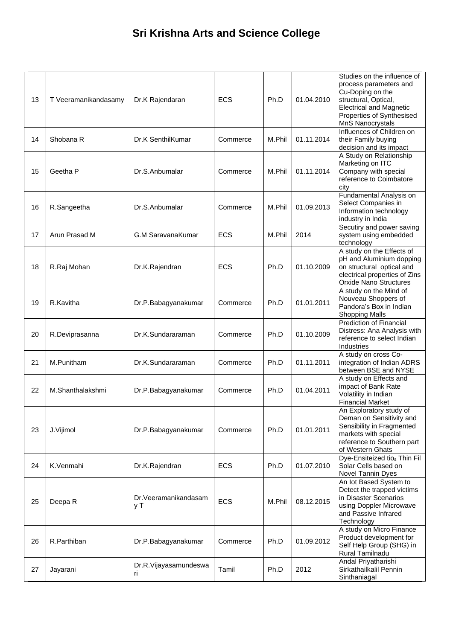| 13 | T Veeramanikandasamy | Dr.K Rajendaran              | <b>ECS</b> | Ph.D   | 01.04.2010 | Studies on the influence of<br>process parameters and<br>Cu-Doping on the<br>structural, Optical,<br><b>Electrical and Magnetic</b><br>Properties of Synthesised<br>MnS Nanocrystals |
|----|----------------------|------------------------------|------------|--------|------------|--------------------------------------------------------------------------------------------------------------------------------------------------------------------------------------|
| 14 | Shobana R            | Dr.K SenthilKumar            | Commerce   | M.Phil | 01.11.2014 | Influences of Children on<br>their Family buying<br>decision and its impact                                                                                                          |
| 15 | Geetha P             | Dr.S.Anbumalar               | Commerce   | M.Phil | 01.11.2014 | A Study on Relationship<br>Marketing on ITC<br>Company with special<br>reference to Coimbatore<br>city                                                                               |
| 16 | R.Sangeetha          | Dr.S.Anbumalar               | Commerce   | M.Phil | 01.09.2013 | Fundamental Analysis on<br>Select Companies in<br>Information technology<br>industry in India                                                                                        |
| 17 | Arun Prasad M        | G.M SaravanaKumar            | <b>ECS</b> | M.Phil | 2014       | Secutiry and power saving<br>system using embedded<br>technology                                                                                                                     |
| 18 | R.Raj Mohan          | Dr.K.Rajendran               | <b>ECS</b> | Ph.D   | 01.10.2009 | A study on the Effects of<br>pH and Aluminium dopping<br>on structural optical and<br>electrical properties of Zins<br>Orxide Nano Structures                                        |
| 19 | R.Kavitha            | Dr.P.Babagyanakumar          | Commerce   | Ph.D   | 01.01.2011 | A study on the Mind of<br>Nouveau Shoppers of<br>Pandora's Box in Indian<br><b>Shopping Malls</b>                                                                                    |
| 20 | R.Deviprasanna       | Dr.K.Sundararaman            | Commerce   | Ph.D   | 01.10.2009 | <b>Prediction of Financial</b><br>Distress: Ana Analysis with<br>reference to select Indian<br>Industries                                                                            |
| 21 | M.Punitham           | Dr.K.Sundararaman            | Commerce   | Ph.D   | 01.11.2011 | A study on cross Co-<br>integration of Indian ADRS<br>between BSE and NYSE                                                                                                           |
| 22 | M.Shanthalakshmi     | Dr.P.Babagyanakumar          | Commerce   | Ph.D   | 01.04.2011 | A study on Effects and<br>impact of Bank Rate<br>Volatility in Indian<br><b>Financial Market</b>                                                                                     |
| 23 | J.Vijimol            | Dr.P.Babagyanakumar          | Commerce   | Ph.D   | 01.01.2011 | An Exploratory study of<br>Deman on Sensitivity and<br>Sensibility in Fragmented<br>markets with special<br>reference to Southern part<br>of Western Ghats                           |
| 24 | K.Venmahi            | Dr.K.Rajendran               | <b>ECS</b> | Ph.D   | 01.07.2010 | Dye-Ensiteized tios Thin Fil<br>Solar Cells based on<br>Novel Tannin Dyes                                                                                                            |
| 25 | Deepa R              | Dr.Veeramanikandasam<br>y T  | <b>ECS</b> | M.Phil | 08.12.2015 | An lot Based System to<br>Detect the trapped victims<br>in Disaster Scenarios<br>using Doppler Microwave<br>and Passive Infrared<br>Technology                                       |
| 26 | R.Parthiban          | Dr.P.Babagyanakumar          | Commerce   | Ph.D   | 01.09.2012 | A study on Micro Finance<br>Product development for<br>Self Help Group (SHG) in<br>Rural Tamilnadu                                                                                   |
| 27 | Jayarani             | Dr.R.Vijayasamundeswa<br>ri. | Tamil      | Ph.D   | 2012       | Andal Priyatharishi<br>Sirkathailkalil Pennin<br>Sinthaniagal                                                                                                                        |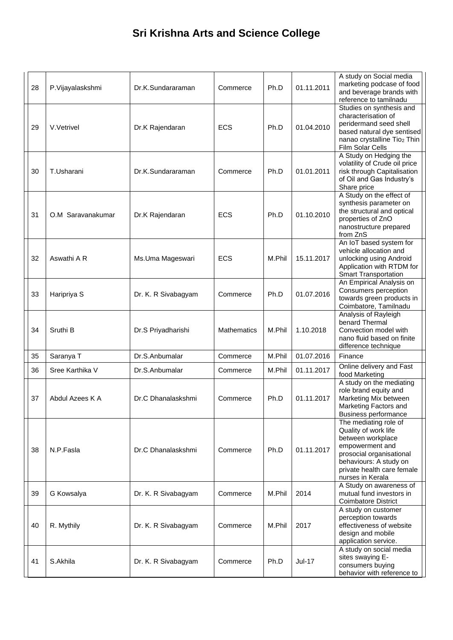| 28 | P.Vijayalaskshmi  | Dr.K.Sundararaman   | Commerce           | Ph.D   | 01.11.2011 | A study on Social media<br>marketing podcase of food<br>and beverage brands with<br>reference to tamilnadu                                                                                    |
|----|-------------------|---------------------|--------------------|--------|------------|-----------------------------------------------------------------------------------------------------------------------------------------------------------------------------------------------|
| 29 | V.Vetrivel        | Dr.K Rajendaran     | <b>ECS</b>         | Ph.D   | 01.04.2010 | Studies on synthesis and<br>characterisation of<br>peridermand seed shell<br>based natural dye sentised<br>nanao crystalline Tio2 Thin<br>Film Solar Cells                                    |
| 30 | T.Usharani        | Dr.K.Sundararaman   | Commerce           | Ph.D   | 01.01.2011 | A Study on Hedging the<br>volatility of Crude oil price<br>risk through Capitalisation<br>of Oil and Gas Industry's<br>Share price                                                            |
| 31 | O.M Saravanakumar | Dr.K Rajendaran     | <b>ECS</b>         | Ph.D   | 01.10.2010 | A Study on the effect of<br>synthesis parameter on<br>the structural and optical<br>properties of ZnO<br>nanostructure prepared<br>from ZnS                                                   |
| 32 | Aswathi A R       | Ms.Uma Mageswari    | <b>ECS</b>         | M.Phil | 15.11.2017 | An IoT based system for<br>vehicle allocation and<br>unlocking using Android<br>Application with RTDM for<br><b>Smart Transportation</b>                                                      |
| 33 | Haripriya S       | Dr. K. R Sivabagyam | Commerce           | Ph.D   | 01.07.2016 | An Empirical Analysis on<br>Consumers perception<br>towards green products in<br>Coimbatore, Tamilnadu                                                                                        |
| 34 | Sruthi B          | Dr.S Priyadharishi  | <b>Mathematics</b> | M.Phil | 1.10.2018  | Analysis of Rayleigh<br>benard Thermal<br>Convection model with<br>nano fluid based on finite<br>difference technique                                                                         |
| 35 | Saranya T         | Dr.S.Anbumalar      | Commerce           | M.Phil | 01.07.2016 | Finance                                                                                                                                                                                       |
| 36 | Sree Karthika V   | Dr.S.Anbumalar      | Commerce           | M.Phil | 01.11.2017 | Online delivery and Fast<br>food Marketing                                                                                                                                                    |
| 37 | Abdul Azees K A   | Dr.C Dhanalaskshmi  | Commerce           | Ph.D   | 01.11.2017 | A study on the mediating<br>role brand equity and<br>Marketing Mix between<br>Marketing Factors and<br><b>Business performance</b>                                                            |
| 38 | N.P.Fasla         | Dr.C Dhanalaskshmi  | Commerce           | Ph.D   | 01.11.2017 | The mediating role of<br>Quality of work life<br>between workplace<br>empowerment and<br>prosocial organisational<br>behaviours: A study on<br>private health care female<br>nurses in Kerala |
| 39 | G Kowsalya        | Dr. K. R Sivabagyam | Commerce           | M.Phil | 2014       | A Study on awareness of<br>mutual fund investors in<br><b>Coimbatore District</b>                                                                                                             |
| 40 | R. Mythily        | Dr. K. R Sivabagyam | Commerce           | M.Phil | 2017       | A study on customer<br>perception towards<br>effectiveness of website<br>design and mobile<br>application service.                                                                            |
| 41 | S.Akhila          | Dr. K. R Sivabagyam | Commerce           | Ph.D   | Jul-17     | A study on social media<br>sites swaying E-<br>consumers buying<br>behavior with reference to                                                                                                 |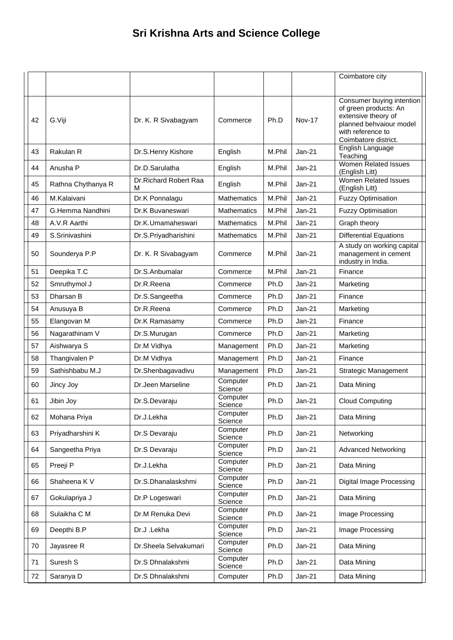|    |                    |                            |                     |        |               | Coimbatore city                                                                                                                                   |
|----|--------------------|----------------------------|---------------------|--------|---------------|---------------------------------------------------------------------------------------------------------------------------------------------------|
|    |                    |                            |                     |        |               |                                                                                                                                                   |
| 42 | G.Viji             | Dr. K. R Sivabagyam        | Commerce            | Ph.D   | <b>Nov-17</b> | Consumer buying intention<br>of green products: An<br>extensive theory of<br>planned behvaiour model<br>with reference to<br>Coimbatore district. |
| 43 | Rakulan R          | Dr.S.Henry Kishore         | English             | M.Phil | $Jan-21$      | English Language<br>Teaching                                                                                                                      |
| 44 | Anusha P           | Dr.D.Sarulatha             | English             | M.Phil | $Jan-21$      | <b>Women Related Issues</b><br>(English Litt)                                                                                                     |
| 45 | Rathna Chythanya R | Dr.Richard Robert Raa<br>М | English             | M.Phil | $Jan-21$      | Women Related Issues<br>(English Litt)                                                                                                            |
| 46 | M.Kalaivani        | Dr.K Ponnalagu             | <b>Mathematics</b>  | M.Phil | $Jan-21$      | <b>Fuzzy Optimisation</b>                                                                                                                         |
| 47 | G.Hemma Nandhini   | Dr.K Buvaneswari           | <b>Mathematics</b>  | M.Phil | $Jan-21$      | <b>Fuzzy Optimisation</b>                                                                                                                         |
| 48 | A.V.R Aarthi       | Dr.K.Umamaheswari          | <b>Mathematics</b>  | M.Phil | $Jan-21$      | Graph theory                                                                                                                                      |
| 49 | S.Srinivashini     | Dr.S.Priyadharishini       | <b>Mathematics</b>  | M.Phil | $Jan-21$      | <b>Differential Equations</b>                                                                                                                     |
| 50 | Sounderya P.P      | Dr. K. R Sivabagyam        | Commerce            | M.Phil | $Jan-21$      | A study on working capital<br>management in cement<br>industry in India.                                                                          |
| 51 | Deepika T.C        | Dr.S.Anbumalar             | Commerce            | M.Phil | $Jan-21$      | Finance                                                                                                                                           |
| 52 | Smruthymol J       | Dr.R.Reena                 | Commerce            | Ph.D   | $Jan-21$      | Marketing                                                                                                                                         |
| 53 | Dharsan B          | Dr.S.Sangeetha             | Commerce            | Ph.D   | $Jan-21$      | Finance                                                                                                                                           |
| 54 | Anusuya B          | Dr.R.Reena                 | Commerce            | Ph.D   | $Jan-21$      | Marketing                                                                                                                                         |
| 55 | Elangovan M        | Dr.K Ramasamy              | Commerce            | Ph.D   | $Jan-21$      | Finance                                                                                                                                           |
| 56 | Nagarathinam V     | Dr.S.Murugan               | Commerce            | Ph.D   | $Jan-21$      | Marketing                                                                                                                                         |
| 57 | Aishwarya S        | Dr.M Vidhya                | Management          | Ph.D   | $Jan-21$      | Marketing                                                                                                                                         |
| 58 | Thangivalen P      | Dr.M Vidhya                | Management          | Ph.D   | Jan-21        | Finance                                                                                                                                           |
| 59 | Sathishbabu M.J    | Dr.Shenbagavadivu          | Management          | Ph.D   | Jan-21        | <b>Strategic Management</b>                                                                                                                       |
| 60 | Jincy Joy          | Dr.Jeen Marseline          | Computer<br>Science | Ph.D   | Jan-21        | Data Mining                                                                                                                                       |
| 61 | Jibin Joy          | Dr.S.Devaraju              | Computer<br>Science | Ph.D   | Jan-21        | <b>Cloud Computing</b>                                                                                                                            |
| 62 | Mohana Priya       | Dr.J.Lekha                 | Computer<br>Science | Ph.D   | <b>Jan-21</b> | Data Mining                                                                                                                                       |
| 63 | Priyadharshini K   | Dr.S Devaraju              | Computer<br>Science | Ph.D   | <b>Jan-21</b> | Networking                                                                                                                                        |
| 64 | Sangeetha Priya    | Dr.S Devaraju              | Computer<br>Science | Ph.D   | $Jan-21$      | <b>Advanced Networking</b>                                                                                                                        |
| 65 | Preeji P           | Dr.J.Lekha                 | Computer<br>Science | Ph.D   | <b>Jan-21</b> | Data Mining                                                                                                                                       |
| 66 | Shaheena K V       | Dr.S.Dhanalaskshmi         | Computer<br>Science | Ph.D   | Jan-21        | Digital Image Processing                                                                                                                          |
| 67 | Gokulapriya J      | Dr.P Logeswari             | Computer<br>Science | Ph.D   | Jan-21        | Data Mining                                                                                                                                       |
| 68 | Sulaikha C M       | Dr.M Renuka Devi           | Computer<br>Science | Ph.D   | Jan-21        | Image Processing                                                                                                                                  |
| 69 | Deepthi B.P        | Dr.J.Lekha                 | Computer<br>Science | Ph.D   | <b>Jan-21</b> | Image Processing                                                                                                                                  |
| 70 | Jayasree R         | Dr.Sheela Selvakumari      | Computer<br>Science | Ph.D   | <b>Jan-21</b> | Data Mining                                                                                                                                       |
| 71 | Suresh S           | Dr.S Dhnalakshmi           | Computer<br>Science | Ph.D   | Jan-21        | Data Mining                                                                                                                                       |
| 72 | Saranya D          | Dr.S Dhnalakshmi           | Computer            | Ph.D   | Jan-21        | Data Mining                                                                                                                                       |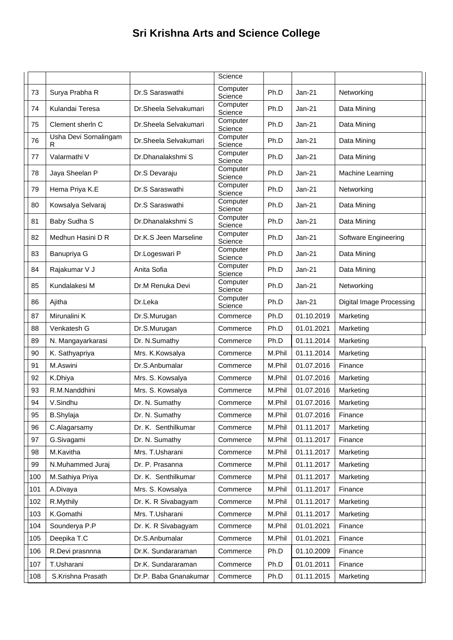|     |                             |                       | Science             |        |            |                                 |
|-----|-----------------------------|-----------------------|---------------------|--------|------------|---------------------------------|
| 73  | Surya Prabha R              | Dr.S Saraswathi       | Computer<br>Science | Ph.D   | $Jan-21$   | Networking                      |
| 74  | Kulandai Teresa             | Dr.Sheela Selvakumari | Computer<br>Science | Ph.D   | $Jan-21$   | Data Mining                     |
| 75  | Clement sherin C            | Dr.Sheela Selvakumari | Computer<br>Science | Ph.D   | $Jan-21$   | Data Mining                     |
| 76  | Usha Devi Sornalingam<br>R. | Dr.Sheela Selvakumari | Computer<br>Science | Ph.D   | Jan-21     | Data Mining                     |
| 77  | Valarmathi V                | Dr.Dhanalakshmi S     | Computer<br>Science | Ph.D   | $Jan-21$   | Data Mining                     |
| 78  | Jaya Sheelan P              | Dr.S Devaraju         | Computer<br>Science | Ph.D   | $Jan-21$   | Machine Learning                |
| 79  | Hema Priya K.E              | Dr.S Saraswathi       | Computer<br>Science | Ph.D   | $Jan-21$   | Networking                      |
| 80  | Kowsalya Selvaraj           | Dr.S Saraswathi       | Computer<br>Science | Ph.D   | $Jan-21$   | Data Mining                     |
| 81  | Baby Sudha S                | Dr.Dhanalakshmi S     | Computer<br>Science | Ph.D   | $Jan-21$   | Data Mining                     |
| 82  | Medhun Hasini D R           | Dr.K.S Jeen Marseline | Computer<br>Science | Ph.D   | $Jan-21$   | Software Engineering            |
| 83  | Banupriya G                 | Dr.Logeswari P        | Computer<br>Science | Ph.D   | $Jan-21$   | Data Mining                     |
| 84  | Rajakumar V J               | Anita Sofia           | Computer<br>Science | Ph.D   | $Jan-21$   | Data Mining                     |
| 85  | Kundalakesi M               | Dr.M Renuka Devi      | Computer<br>Science | Ph.D   | $Jan-21$   | Networking                      |
| 86  | Ajitha                      | Dr.Leka               | Computer<br>Science | Ph.D   | $Jan-21$   | <b>Digital Image Processing</b> |
| 87  | Mirunalini K                | Dr.S.Murugan          | Commerce            | Ph.D   | 01.10.2019 | Marketing                       |
| 88  | Venkatesh G                 | Dr.S.Murugan          | Commerce            | Ph.D   | 01.01.2021 | Marketing                       |
| 89  | N. Mangayarkarasi           | Dr. N.Sumathy         | Commerce            | Ph.D   | 01.11.2014 | Marketing                       |
| 90  | K. Sathyapriya              | Mrs. K.Kowsalya       | Commerce            | M.Phil | 01.11.2014 | Marketing                       |
| 91  | M.Aswini                    | Dr.S.Anbumalar        | Commerce            | M.Phil | 01.07.2016 | Finance                         |
| 92  | K.Dhiya                     | Mrs. S. Kowsalya      | Commerce            | M.Phil | 01.07.2016 | Marketing                       |
| 93  | R.M.Nanddhini               | Mrs. S. Kowsalya      | Commerce            | M.Phil | 01.07.2016 | Marketing                       |
| 94  | V.Sindhu                    | Dr. N. Sumathy        | Commerce            | M.Phil | 01.07.2016 | Marketing                       |
| 95  | <b>B.Shylaja</b>            | Dr. N. Sumathy        | Commerce            | M.Phil | 01.07.2016 | Finance                         |
| 96  | C.Alagarsamy                | Dr. K. Senthilkumar   | Commerce            | M.Phil | 01.11.2017 | Marketing                       |
| 97  | G.Sivagami                  | Dr. N. Sumathy        | Commerce            | M.Phil | 01.11.2017 | Finance                         |
| 98  | M.Kavitha                   | Mrs. T.Usharani       | Commerce            | M.Phil | 01.11.2017 | Marketing                       |
| 99  | N.Muhammed Juraj            | Dr. P. Prasanna       | Commerce            | M.Phil | 01.11.2017 | Marketing                       |
| 100 | M.Sathiya Priya             | Dr. K. Senthilkumar   | Commerce            | M.Phil | 01.11.2017 | Marketing                       |
| 101 | A.Divaya                    | Mrs. S. Kowsalya      | Commerce            | M.Phil | 01.11.2017 | Finance                         |
| 102 | R.Mythily                   | Dr. K. R Sivabagyam   | Commerce            | M.Phil | 01.11.2017 | Marketing                       |
| 103 | K.Gomathi                   | Mrs. T.Usharani       | Commerce            | M.Phil | 01.11.2017 | Marketing                       |
| 104 | Sounderya P.P               | Dr. K. R Sivabagyam   | Commerce            | M.Phil | 01.01.2021 | Finance                         |
| 105 | Deepika T.C                 | Dr.S.Anbumalar        | Commerce            | M.Phil | 01.01.2021 | Finance                         |
| 106 | R.Devi prasnnna             | Dr.K. Sundararaman    | Commerce            | Ph.D   | 01.10.2009 | Finance                         |
| 107 | T.Usharani                  | Dr.K. Sundararaman    | Commerce            | Ph.D   | 01.01.2011 | Finance                         |
| 108 | S.Krishna Prasath           | Dr.P. Baba Gnanakumar | Commerce            | Ph.D   | 01.11.2015 | Marketing                       |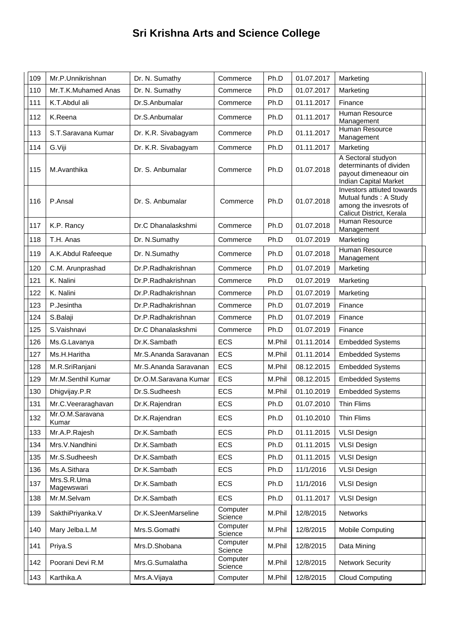| 109 | Mr.P.Unnikrishnan         | Dr. N. Sumathy        | Commerce            | Ph.D   | 01.07.2017 | Marketing                                                                                                 |
|-----|---------------------------|-----------------------|---------------------|--------|------------|-----------------------------------------------------------------------------------------------------------|
| 110 | Mr.T.K.Muhamed Anas       | Dr. N. Sumathy        | Commerce            | Ph.D   | 01.07.2017 | Marketing                                                                                                 |
| 111 | K.T.Abdul ali             | Dr.S.Anbumalar        | Commerce            | Ph.D   | 01.11.2017 | Finance                                                                                                   |
| 112 | K.Reena                   | Dr.S.Anbumalar        | Commerce            | Ph.D   | 01.11.2017 | Human Resource<br>Management                                                                              |
| 113 | S.T.Saravana Kumar        | Dr. K.R. Sivabagyam   | Commerce            | Ph.D   | 01.11.2017 | Human Resource<br>Management                                                                              |
| 114 | G.Viji                    | Dr. K.R. Sivabagyam   | Commerce            | Ph.D   | 01.11.2017 | Marketing                                                                                                 |
| 115 | M.Avanthika               | Dr. S. Anbumalar      | Commerce            | Ph.D   | 01.07.2018 | A Sectoral studyon<br>determinants of dividen<br>payout dimeneaour oin<br>Indian Capital Market           |
| 116 | P.Ansal                   | Dr. S. Anbumalar      | Commerce            | Ph.D   | 01.07.2018 | Investors attiuted towards<br>Mutual funds: A Study<br>among the invesrots of<br>Calicut District, Kerala |
| 117 | K.P. Rancy                | Dr.C Dhanalaskshmi    | Commerce            | Ph.D   | 01.07.2018 | <b>Human Resource</b><br>Management                                                                       |
| 118 | T.H. Anas                 | Dr. N.Sumathy         | Commerce            | Ph.D   | 01.07.2019 | Marketing                                                                                                 |
| 119 | A.K.Abdul Rafeeque        | Dr. N.Sumathy         | Commerce            | Ph.D   | 01.07.2018 | Human Resource<br>Management                                                                              |
| 120 | C.M. Arunprashad          | Dr.P.Radhakrishnan    | Commerce            | Ph.D   | 01.07.2019 | Marketing                                                                                                 |
| 121 | K. Nalini                 | Dr.P.Radhakrishnan    | Commerce            | Ph.D   | 01.07.2019 | Marketing                                                                                                 |
| 122 | K. Nalini                 | Dr.P.Radhakrishnan    | Commerce            | Ph.D   | 01.07.2019 | Marketing                                                                                                 |
| 123 | P.Jesintha                | Dr.P.Radhakrishnan    | Commerce            | Ph.D   | 01.07.2019 | Finance                                                                                                   |
| 124 | S.Balaji                  | Dr.P.Radhakrishnan    | Commerce            | Ph.D   | 01.07.2019 | Finance                                                                                                   |
| 125 | S.Vaishnavi               | Dr.C Dhanalaskshmi    | Commerce            | Ph.D   | 01.07.2019 | Finance                                                                                                   |
| 126 | Ms.G.Lavanya              | Dr.K.Sambath          | ECS                 | M.Phil | 01.11.2014 | <b>Embedded Systems</b>                                                                                   |
| 127 | Ms.H.Haritha              | Mr.S.Ananda Saravanan | ECS                 | M.Phil | 01.11.2014 | <b>Embedded Systems</b>                                                                                   |
| 128 | M.R.SriRanjani            | Mr.S.Ananda Saravanan | ECS                 | M.Phil | 08.12.2015 | <b>Embedded Systems</b>                                                                                   |
| 129 | Mr.M.Senthil Kumar        | Dr.O.M.Saravana Kumar | <b>ECS</b>          | M.Phil | 08.12.2015 | <b>Embedded Systems</b>                                                                                   |
| 130 | Dhigvijay.P.R             | Dr.S.Sudheesh         | ECS                 | M.Phil | 01.10.2019 | <b>Embedded Systems</b>                                                                                   |
| 131 | Mr.C.Veeraraghavan        | Dr.K.Rajendran        | ECS                 | Ph.D   | 01.07.2010 | Thin Flims                                                                                                |
| 132 | Mr.O.M.Saravana<br>Kumar  | Dr.K.Rajendran        | <b>ECS</b>          | Ph.D   | 01.10.2010 | <b>Thin Flims</b>                                                                                         |
| 133 | Mr.A.P.Rajesh             | Dr.K.Sambath          | <b>ECS</b>          | Ph.D   | 01.11.2015 | <b>VLSI Design</b>                                                                                        |
| 134 | Mrs.V.Nandhini            | Dr.K.Sambath          | <b>ECS</b>          | Ph.D   | 01.11.2015 | <b>VLSI Design</b>                                                                                        |
| 135 | Mr.S.Sudheesh             | Dr.K.Sambath          | ECS                 | Ph.D   | 01.11.2015 | <b>VLSI Design</b>                                                                                        |
| 136 | Ms.A.Sithara              | Dr.K.Sambath          | <b>ECS</b>          | Ph.D   | 11/1/2016  | <b>VLSI Design</b>                                                                                        |
| 137 | Mrs.S.R.Uma<br>Magewswari | Dr.K.Sambath          | ECS                 | Ph.D   | 11/1/2016  | <b>VLSI Design</b>                                                                                        |
| 138 | Mr.M.Selvam               | Dr.K.Sambath          | <b>ECS</b>          | Ph.D   | 01.11.2017 | <b>VLSI Design</b>                                                                                        |
| 139 | SakthiPriyanka.V          | Dr.K.SJeenMarseline   | Computer<br>Science | M.Phil | 12/8/2015  | Networks                                                                                                  |
| 140 | Mary Jelba.L.M            | Mrs.S.Gomathi         | Computer<br>Science | M.Phil | 12/8/2015  | Mobile Computing                                                                                          |
| 141 | Priya.S                   | Mrs.D.Shobana         | Computer<br>Science | M.Phil | 12/8/2015  | Data Mining                                                                                               |
| 142 | Poorani Devi R.M          | Mrs.G.Sumalatha       | Computer<br>Science | M.Phil | 12/8/2015  | <b>Network Security</b>                                                                                   |
| 143 | Karthika.A                | Mrs.A.Vijaya          | Computer            | M.Phil | 12/8/2015  | <b>Cloud Computing</b>                                                                                    |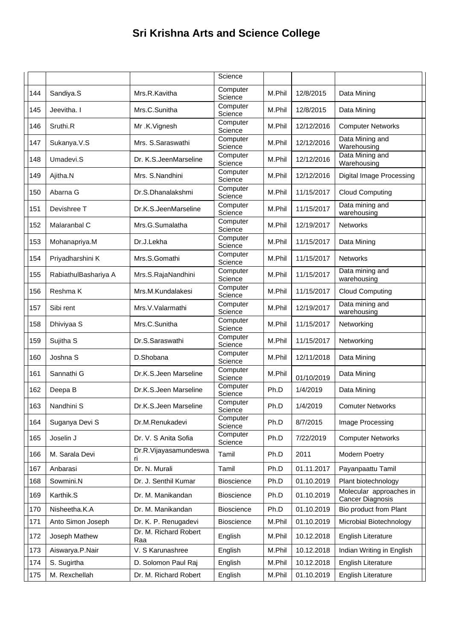|     |                      |                              | Science             |        |            |                                                    |
|-----|----------------------|------------------------------|---------------------|--------|------------|----------------------------------------------------|
| 144 | Sandiya.S            | Mrs.R.Kavitha                | Computer<br>Science | M.Phil | 12/8/2015  | Data Mining                                        |
| 145 | Jeevitha. I          | Mrs.C.Sunitha                | Computer<br>Science | M.Phil | 12/8/2015  | Data Mining                                        |
| 146 | Sruthi.R             | Mr.K.Vignesh                 | Computer<br>Science | M.Phil | 12/12/2016 | <b>Computer Networks</b>                           |
| 147 | Sukanya.V.S          | Mrs. S.Saraswathi            | Computer<br>Science | M.Phil | 12/12/2016 | Data Mining and<br>Warehousing                     |
| 148 | Umadevi.S            | Dr. K.S.JeenMarseline        | Computer<br>Science | M.Phil | 12/12/2016 | Data Mining and<br>Warehousing                     |
| 149 | Ajitha.N             | Mrs. S.Nandhini              | Computer<br>Science | M.Phil | 12/12/2016 | Digital Image Processing                           |
| 150 | Abarna G             | Dr.S.Dhanalakshmi            | Computer<br>Science | M.Phil | 11/15/2017 | <b>Cloud Computing</b>                             |
| 151 | Devishree T          | Dr.K.S.JeenMarseline         | Computer<br>Science | M.Phil | 11/15/2017 | Data mining and<br>warehousing                     |
| 152 | Malaranbal C         | Mrs.G.Sumalatha              | Computer<br>Science | M.Phil | 12/19/2017 | Networks                                           |
| 153 | Mohanapriya.M        | Dr.J.Lekha                   | Computer<br>Science | M.Phil | 11/15/2017 | Data Mining                                        |
| 154 | Priyadharshini K     | Mrs.S.Gomathi                | Computer<br>Science | M.Phil | 11/15/2017 | <b>Networks</b>                                    |
| 155 | RabiathulBashariya A | Mrs.S.RajaNandhini           | Computer<br>Science | M.Phil | 11/15/2017 | Data mining and<br>warehousing                     |
| 156 | Reshma K             | Mrs.M.Kundalakesi            | Computer<br>Science | M.Phil | 11/15/2017 | <b>Cloud Computing</b>                             |
| 157 | Sibi rent            | Mrs.V.Valarmathi             | Computer<br>Science | M.Phil | 12/19/2017 | Data mining and<br>warehousing                     |
| 158 | Dhiviyaa S           | Mrs.C.Sunitha                | Computer<br>Science | M.Phil | 11/15/2017 | Networking                                         |
| 159 | Sujitha <sub>S</sub> | Dr.S.Saraswathi              | Computer<br>Science | M.Phil | 11/15/2017 | Networking                                         |
| 160 | Joshna S             | D.Shobana                    | Computer<br>Science | M.Phil | 12/11/2018 | Data Mining                                        |
| 161 | Sannathi G           | Dr.K.S.Jeen Marseline        | Computer<br>Science | M.Phil | 01/10/2019 | Data Mining                                        |
| 162 | Deepa B              | Dr.K.S.Jeen Marseline        | Computer<br>Science | Ph.D   | 1/4/2019   | Data Mining                                        |
| 163 | Nandhini S           | Dr.K.S.Jeen Marseline        | Computer<br>Science | Ph.D   | 1/4/2019   | <b>Comuter Networks</b>                            |
| 164 | Suganya Devi S       | Dr.M.Renukadevi              | Computer<br>Science | Ph.D   | 8/7/2015   | Image Processing                                   |
| 165 | Joselin J            | Dr. V. S Anita Sofia         | Computer<br>Science | Ph.D   | 7/22/2019  | <b>Computer Networks</b>                           |
| 166 | M. Sarala Devi       | Dr.R.Vijayasamundeswa<br>ri. | Tamil               | Ph.D   | 2011       | Modern Poetry                                      |
| 167 | Anbarasi             | Dr. N. Murali                | Tamil               | Ph.D   | 01.11.2017 | Payanpaattu Tamil                                  |
| 168 | Sowmini.N            | Dr. J. Senthil Kumar         | <b>Bioscience</b>   | Ph.D   | 01.10.2019 | Plant biotechnology                                |
| 169 | Karthik.S            | Dr. M. Manikandan            | Bioscience          | Ph.D   | 01.10.2019 | Molecular approaches in<br><b>Cancer Diagnosis</b> |
| 170 | Nisheetha.K.A        | Dr. M. Manikandan            | <b>Bioscience</b>   | Ph.D   | 01.10.2019 | Bio product from Plant                             |
| 171 | Anto Simon Joseph    | Dr. K. P. Renugadevi         | Bioscience          | M.Phil | 01.10.2019 | Microbial Biotechnology                            |
| 172 | Joseph Mathew        | Dr. M. Richard Robert<br>Raa | English             | M.Phil | 10.12.2018 | English Literature                                 |
| 173 | Aiswarya.P.Nair      | V. S Karunashree             | English             | M.Phil | 10.12.2018 | Indian Writing in English                          |
| 174 | S. Sugirtha          | D. Solomon Paul Raj          | English             | M.Phil | 10.12.2018 | <b>English Literature</b>                          |
| 175 | M. Rexchellah        | Dr. M. Richard Robert        | English             | M.Phil | 01.10.2019 | English Literature                                 |